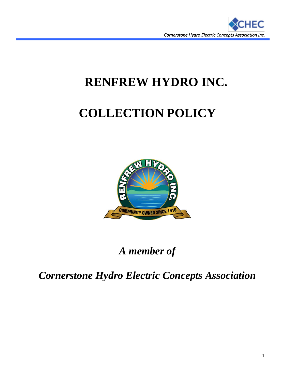

# **RENFREW HYDRO INC.**

# **COLLECTION POLICY**



# *A member of*

*Cornerstone Hydro Electric Concepts Association*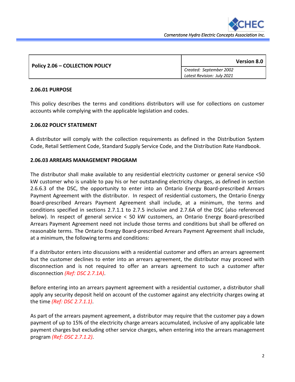

| Policy 2.06 - COLLECTION POLICY | <b>Version 8.0</b>         |
|---------------------------------|----------------------------|
|                                 | Created: September 2002    |
|                                 | Latest Revision: July 2021 |

#### **2.06.01 PURPOSE**

This policy describes the terms and conditions distributors will use for collections on customer accounts while complying with the applicable legislation and codes.

#### **2.06.02 POLICY STATEMENT**

A distributor will comply with the collection requirements as defined in the Distribution System Code, Retail Settlement Code, Standard Supply Service Code, and the Distribution Rate Handbook.

#### **2.06.03 ARREARS MANAGEMENT PROGRAM**

The distributor shall make available to any residential electricity customer or general service <50 kW customer who is unable to pay his or her outstanding electricity charges, as defined in section 2.6.6.3 of the DSC, the opportunity to enter into an Ontario Energy Board-prescribed Arrears Payment Agreement with the distributor. In respect of residential customers, the Ontario Energy Board-prescribed Arrears Payment Agreement shall include, at a minimum, the terms and conditions specified in sections 2.7.1.1 to 2.7.5 inclusive and 2.7.6A of the DSC (also referenced below). In respect of general service < 50 kW customers, an Ontario Energy Board-prescribed Arrears Payment Agreement need not include those terms and conditions but shall be offered on reasonable terms. The Ontario Energy Board-prescribed Arrears Payment Agreement shall include, at a minimum, the following terms and conditions:

If a distributor enters into discussions with a residential customer and offers an arrears agreement but the customer declines to enter into an arrears agreement, the distributor may proceed with disconnection and is not required to offer an arrears agreement to such a customer after disconnection *(Ref: DSC 2.7.1A)*.

Before entering into an arrears payment agreement with a residential customer, a distributor shall apply any security deposit held on account of the customer against any electricity charges owing at the time *(Ref: DSC 2.7.1.1)*.

As part of the arrears payment agreement, a distributor may require that the customer pay a down payment of up to 15% of the electricity charge arrears accumulated, inclusive of any applicable late payment charges but excluding other service charges, when entering into the arrears management program *(Ref: DSC 2.7.1.2)*.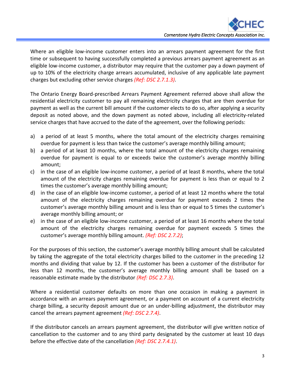i<br>E

Where an eligible low-income customer enters into an arrears payment agreement for the first time or subsequent to having successfully completed a previous arrears payment agreement as an eligible low-income customer, a distributor may require that the customer pay a down payment of up to 10% of the electricity charge arrears accumulated, inclusive of any applicable late payment charges but excluding other service charges *(Ref: DSC 2.7.1.3)*.

The Ontario Energy Board-prescribed Arrears Payment Agreement referred above shall allow the residential electricity customer to pay all remaining electricity charges that are then overdue for payment as well as the current bill amount if the customer elects to do so, after applying a security deposit as noted above, and the down payment as noted above, including all electricity-related service charges that have accrued to the date of the agreement, over the following periods:

- a) a period of at least 5 months, where the total amount of the electricity charges remaining overdue for payment is less than twice the customer's average monthly billing amount;
- b) a period of at least 10 months, where the total amount of the electricity charges remaining overdue for payment is equal to or exceeds twice the customer's average monthly billing amount;
- c) in the case of an eligible low-income customer, a period of at least 8 months, where the total amount of the electricity charges remaining overdue for payment is less than or equal to 2 times the customer's average monthly billing amount;
- d) in the case of an eligible low-income customer, a period of at least 12 months where the total amount of the electricity charges remaining overdue for payment exceeds 2 times the customer's average monthly billing amount and is less than or equal to 5 times the customer's average monthly billing amount; or
- e) in the case of an eligible low-income customer, a period of at least 16 months where the total amount of the electricity charges remaining overdue for payment exceeds 5 times the customer's average monthly billing amount. *(Ref: DSC 2.7.2)*;

For the purposes of this section, the customer's average monthly billing amount shall be calculated by taking the aggregate of the total electricity charges billed to the customer in the preceding 12 months and dividing that value by 12. If the customer has been a customer of the distributor for less than 12 months, the customer's average monthly billing amount shall be based on a reasonable estimate made by the distributor *(Ref: DSC 2.7.3)*.

Where a residential customer defaults on more than one occasion in making a payment in accordance with an arrears payment agreement, or a payment on account of a current electricity charge billing, a security deposit amount due or an under-billing adjustment, the distributor may cancel the arrears payment agreement *(Ref: DSC 2.7.4)*.

If the distributor cancels an arrears payment agreement, the distributor will give written notice of cancellation to the customer and to any third party designated by the customer at least 10 days before the effective date of the cancellation *(Ref: DSC 2.7.4.1)*.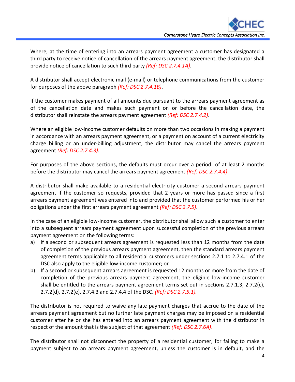i<br>E

Where, at the time of entering into an arrears payment agreement a customer has designated a third party to receive notice of cancellation of the arrears payment agreement, the distributor shall provide notice of cancellation to such third party *(Ref: DSC 2.7.4.1A)*.

A distributor shall accept electronic mail (e-mail) or telephone communications from the customer for purposes of the above paragraph *(Ref: DSC 2.7.4.1B)*.

If the customer makes payment of all amounts due pursuant to the arrears payment agreement as of the cancellation date and makes such payment on or before the cancellation date, the distributor shall reinstate the arrears payment agreement *(Ref: DSC 2.7.4.2)*.

Where an eligible low-income customer defaults on more than two occasions in making a payment in accordance with an arrears payment agreement, or a payment on account of a current electricity charge billing or an under-billing adjustment, the distributor may cancel the arrears payment agreement *(Ref: DSC 2.7.4.3)*.

For purposes of the above sections, the defaults must occur over a period of at least 2 months before the distributor may cancel the arrears payment agreement *(Ref: DSC 2.7.4.4)*.

A distributor shall make available to a residential electricity customer a second arrears payment agreement if the customer so requests, provided that 2 years or more has passed since a first arrears payment agreement was entered into and provided that the customer performed his or her obligations under the first arrears payment agreement *(Ref: DSC 2.7.5)*.

In the case of an eligible low-income customer, the distributor shall allow such a customer to enter into a subsequent arrears payment agreement upon successful completion of the previous arrears payment agreement on the following terms:

- a) If a second or subsequent arrears agreement is requested less than 12 months from the date of completion of the previous arrears payment agreement, then the standard arrears payment agreement terms applicable to all residential customers under sections 2.7.1 to 2.7.4.1 of the DSC also apply to the eligible low-income customer; or
- b) If a second or subsequent arrears agreement is requested 12 months or more from the date of completion of the previous arrears payment agreement, the eligible low-income customer shall be entitled to the arrears payment agreement terms set out in sections 2.7.1.3, 2.7.2(c), 2.7.2(d), 2.7.2(e), 2.7.4.3 and 2.7.4.4 of the DSC. *(Ref: DSC 2.7.5.1).*

The distributor is not required to waive any late payment charges that accrue to the date of the arrears payment agreement but no further late payment charges may be imposed on a residential customer after he or she has entered into an arrears payment agreement with the distributor in respect of the amount that is the subject of that agreement *(Ref: DSC 2.7.6A)*.

The distributor shall not disconnect the property of a residential customer, for failing to make a payment subject to an arrears payment agreement, unless the customer is in default, and the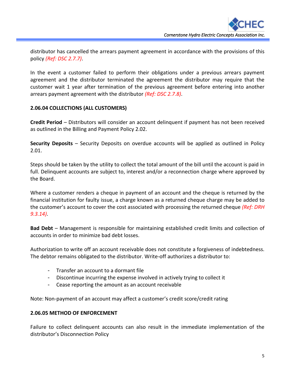i<br>E

distributor has cancelled the arrears payment agreement in accordance with the provisions of this policy *(Ref: DSC 2.7.7)*.

In the event a customer failed to perform their obligations under a previous arrears payment agreement and the distributor terminated the agreement the distributor may require that the customer wait 1 year after termination of the previous agreement before entering into another arrears payment agreement with the distributor *(Ref: DSC 2.7.8)*.

## **2.06.04 COLLECTIONS (ALL CUSTOMERS)**

**Credit Period** – Distributors will consider an account delinquent if payment has not been received as outlined in the Billing and Payment Policy 2.02.

**Security Deposits** – Security Deposits on overdue accounts will be applied as outlined in Policy 2.01.

Steps should be taken by the utility to collect the total amount of the bill until the account is paid in full. Delinquent accounts are subject to, interest and/or a reconnection charge where approved by the Board.

Where a customer renders a cheque in payment of an account and the cheque is returned by the financial institution for faulty issue, a charge known as a returned cheque charge may be added to the customer's account to cover the cost associated with processing the returned cheque *(Ref: DRH 9.3.14)*.

**Bad Debt** – Management is responsible for maintaining established credit limits and collection of accounts in order to minimize bad debt losses.

Authorization to write off an account receivable does not constitute a forgiveness of indebtedness. The debtor remains obligated to the distributor. Write-off authorizes a distributor to:

- Transfer an account to a dormant file
- Discontinue incurring the expense involved in actively trying to collect it
- Cease reporting the amount as an account receivable

Note: Non-payment of an account may affect a customer's credit score/credit rating

## **2.06.05 METHOD OF ENFORCEMENT**

Failure to collect delinquent accounts can also result in the immediate implementation of the distributor's Disconnection Policy